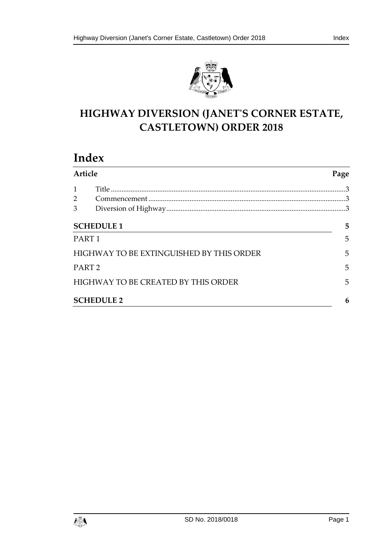



# **HIGHWAY DIVERSION (JANET'S CORNER ESTATE, CASTLETOWN) ORDER 2018**

# **Index**

| <b>Article</b>                           |                                     | Page |
|------------------------------------------|-------------------------------------|------|
| $\mathbf{1}$                             |                                     |      |
| $2^{\circ}$                              |                                     |      |
| 3                                        |                                     |      |
| <b>SCHEDULE 1</b>                        |                                     | 5    |
| PART <sub>1</sub>                        |                                     | 5    |
| HIGHWAY TO BE EXTINGUISHED BY THIS ORDER |                                     | 5    |
| PART <sub>2</sub>                        |                                     | 5    |
|                                          | HIGHWAY TO BE CREATED BY THIS ORDER | 5    |
| <b>SCHEDULE 2</b>                        |                                     | 6    |

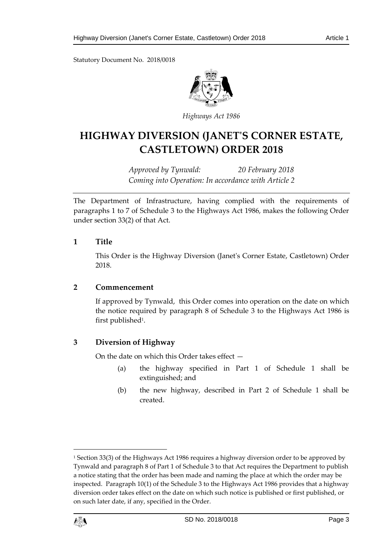Statutory Document No. 2018/0018



*Highways Act 1986*

# **HIGHWAY DIVERSION (JANET'S CORNER ESTATE, CASTLETOWN) ORDER 2018**

*Approved by Tynwald: 20 February 2018 Coming into Operation: In accordance with Article 2*

The Department of Infrastructure, having complied with the requirements of paragraphs 1 to 7 of Schedule 3 to the Highways Act 1986, makes the following Order under section 33(2) of that Act.

## <span id="page-2-0"></span>**1 Title**

This Order is the Highway Diversion (Janet's Corner Estate, Castletown) Order 2018.

# <span id="page-2-1"></span>**2 Commencement**

If approved by Tynwald, this Order comes into operation on the date on which the notice required by paragraph 8 of Schedule 3 to the Highways Act 1986 is first published<sup>1</sup>.

# <span id="page-2-2"></span>**3 Diversion of Highway**

On the date on which this Order takes effect —

- (a) the highway specified in Part 1 of Schedule 1 shall be extinguished; and
- (b) the new highway, described in Part 2 of Schedule 1 shall be created.

<sup>&</sup>lt;sup>1</sup> Section 33(3) of the Highways Act 1986 requires a highway diversion order to be approved by Tynwald and paragraph 8 of Part 1 of Schedule 3 to that Act requires the Department to publish a notice stating that the order has been made and naming the place at which the order may be inspected. Paragraph 10(1) of the Schedule 3 to the Highways Act 1986 provides that a highway diversion order takes effect on the date on which such notice is published or first published, or on such later date, if any, specified in the Order.



 $\overline{a}$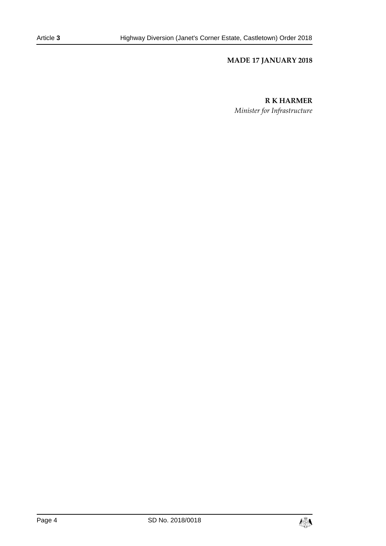## **MADE 17 JANUARY 2018**

### **R K HARMER**

*Minister for Infrastructure*

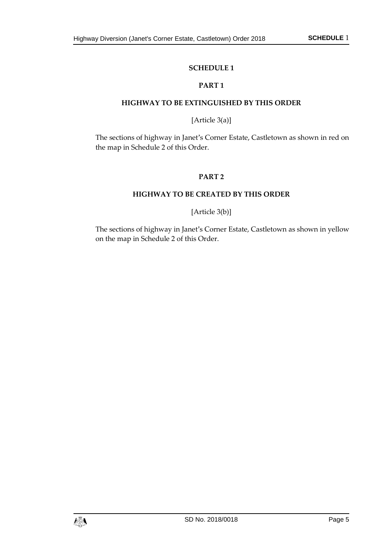## **SCHEDULE 1**

## **PART 1**

#### <span id="page-4-1"></span><span id="page-4-0"></span>**HIGHWAY TO BE EXTINGUISHED BY THIS ORDER**

## [Article 3(a)]

<span id="page-4-3"></span><span id="page-4-2"></span>The sections of highway in Janet's Corner Estate, Castletown as shown in red on the map in Schedule 2 of this Order.

### **PART 2**

### **HIGHWAY TO BE CREATED BY THIS ORDER**

# [Article 3(b)]

<span id="page-4-4"></span>The sections of highway in Janet's Corner Estate, Castletown as shown in yellow on the map in Schedule 2 of this Order.

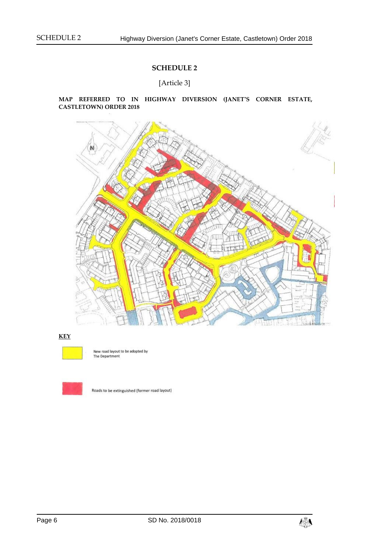# **SCHEDULE 2**

[Article 3]

#### <span id="page-5-0"></span>**MAP REFERRED TO IN HIGHWAY DIVERSION (JANET'S CORNER ESTATE, CASTLETOWN) ORDER 2018**



#### **KEY**



New road layout to be adopted by The Department



Roads to be extinguished (former road layout)